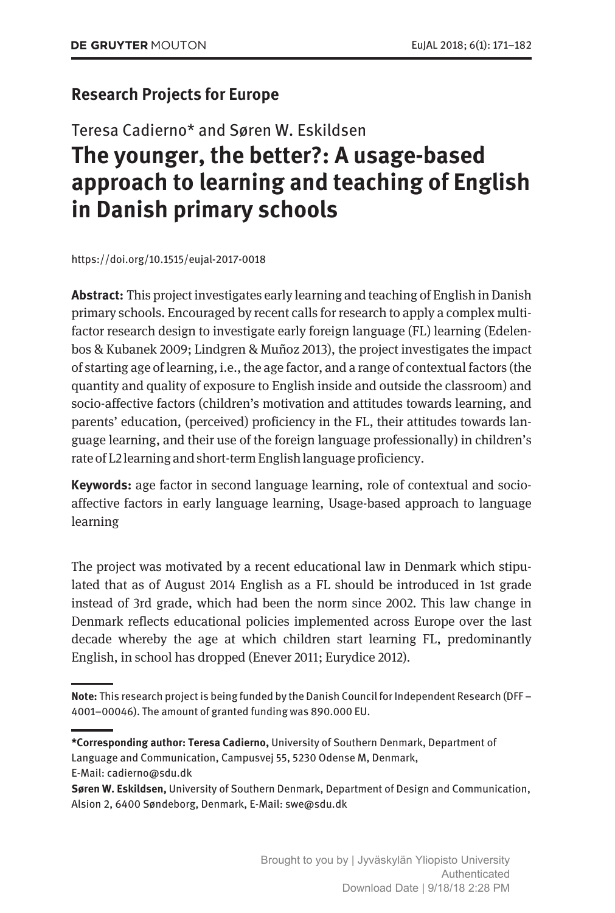#### Research Projects for Europe

# Teresa Cadierno\* and Søren W. Eskildsen The younger, the better?: A usage-based approach to learning and teaching of English in Danish primary schools

https://doi.org/10.1515/eujal-2017-0018

Abstract: This project investigates early learning and teaching of English in Danish primary schools. Encouraged by recent calls for research to apply a complex multifactor research design to investigate early foreign language (FL) learning (Edelenbos & Kubanek 2009; Lindgren & Muñoz 2013), the project investigates the impact of starting age of learning, i.e., the age factor, and a range of contextual factors (the quantity and quality of exposure to English inside and outside the classroom) and socio-affective factors (children's motivation and attitudes towards learning, and parents' education, (perceived) proficiency in the FL, their attitudes towards language learning, and their use of the foreign language professionally) in children's rate of L2 learning and short-term English language proficiency.

Keywords: age factor in second language learning, role of contextual and socioaffective factors in early language learning, Usage-based approach to language learning

The project was motivated by a recent educational law in Denmark which stipulated that as of August 2014 English as a FL should be introduced in 1st grade instead of 3rd grade, which had been the norm since 2002. This law change in Denmark reflects educational policies implemented across Europe over the last decade whereby the age at which children start learning FL, predominantly English, in school has dropped (Enever 2011; Eurydice 2012).

Note: This research project is being funded by the Danish Council for Independent Research (DFF – 4001–00046). The amount of granted funding was 890.000 EU.

<sup>\*</sup>Corresponding author: Teresa Cadierno, University of Southern Denmark, Department of Language and Communication, Campusvej 55, 5230 Odense M, Denmark, E-Mail: cadierno@sdu.dk

Søren W. Eskildsen, University of Southern Denmark, Department of Design and Communication, Alsion 2, 6400 Søndeborg, Denmark, E-Mail: swe@sdu.dk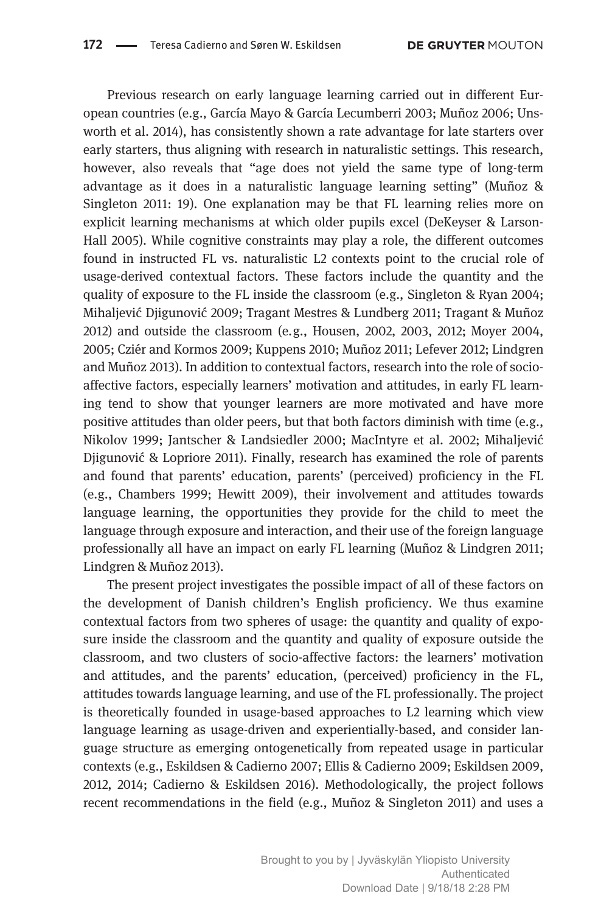Previous research on early language learning carried out in different European countries (e.g., García Mayo & García Lecumberri 2003; Muñoz 2006; Unsworth et al. 2014), has consistently shown a rate advantage for late starters over early starters, thus aligning with research in naturalistic settings. This research, however, also reveals that "age does not yield the same type of long-term advantage as it does in a naturalistic language learning setting" (Muñoz & Singleton 2011: 19). One explanation may be that FL learning relies more on explicit learning mechanisms at which older pupils excel (DeKeyser & Larson-Hall 2005). While cognitive constraints may play a role, the different outcomes found in instructed FL vs. naturalistic L2 contexts point to the crucial role of usage-derived contextual factors. These factors include the quantity and the quality of exposure to the FL inside the classroom (e.g., Singleton & Ryan 2004; Mihaljević Djigunović 2009; Tragant Mestres & Lundberg 2011; Tragant & Muñoz 2012) and outside the classroom (e.g., Housen, 2002, 2003, 2012; Moyer 2004, 2005; Cziér and Kormos 2009; Kuppens 2010; Muñoz 2011; Lefever 2012; Lindgren and Muñoz 2013). In addition to contextual factors, research into the role of socioaffective factors, especially learners' motivation and attitudes, in early FL learning tend to show that younger learners are more motivated and have more positive attitudes than older peers, but that both factors diminish with time (e.g., Nikolov 1999; Jantscher & Landsiedler 2000; MacIntyre et al. 2002; Mihaljević Djigunović & Lopriore 2011). Finally, research has examined the role of parents and found that parents' education, parents' (perceived) proficiency in the FL (e.g., Chambers 1999; Hewitt 2009), their involvement and attitudes towards language learning, the opportunities they provide for the child to meet the language through exposure and interaction, and their use of the foreign language professionally all have an impact on early FL learning (Muñoz & Lindgren 2011; Lindgren & Muñoz 2013).

The present project investigates the possible impact of all of these factors on the development of Danish children's English proficiency. We thus examine contextual factors from two spheres of usage: the quantity and quality of exposure inside the classroom and the quantity and quality of exposure outside the classroom, and two clusters of socio-affective factors: the learners' motivation and attitudes, and the parents' education, (perceived) proficiency in the FL, attitudes towards language learning, and use of the FL professionally. The project is theoretically founded in usage-based approaches to L2 learning which view language learning as usage-driven and experientially-based, and consider language structure as emerging ontogenetically from repeated usage in particular contexts (e.g., Eskildsen & Cadierno 2007; Ellis & Cadierno 2009; Eskildsen 2009, 2012, 2014; Cadierno & Eskildsen 2016). Methodologically, the project follows recent recommendations in the field (e.g., Muñoz & Singleton 2011) and uses a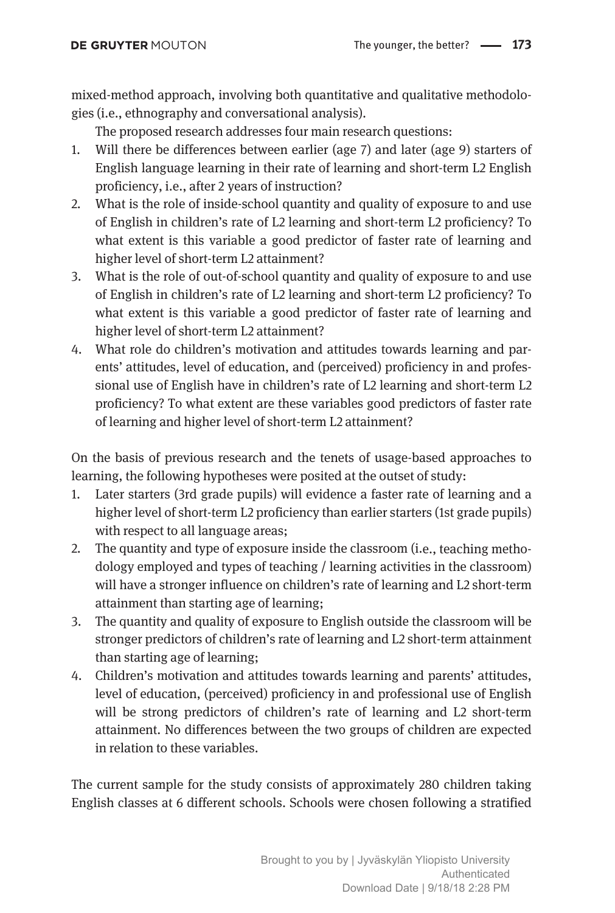mixed-method approach, involving both quantitative and qualitative methodologies (i.e., ethnography and conversational analysis).

The proposed research addresses four main research questions:

- 1. Will there be differences between earlier (age 7) and later (age 9) starters of English language learning in their rate of learning and short-term L2 English proficiency, i.e., after 2 years of instruction?
- 2. What is the role of inside-school quantity and quality of exposure to and use of English in children's rate of L2 learning and short-term L2 proficiency? To what extent is this variable a good predictor of faster rate of learning and higher level of short-term L2 attainment?
- 3. What is the role of out-of-school quantity and quality of exposure to and use of English in children's rate of L2 learning and short-term L2 proficiency? To what extent is this variable a good predictor of faster rate of learning and higher level of short-term L2 attainment?
- 4. What role do children's motivation and attitudes towards learning and parents' attitudes, level of education, and (perceived) proficiency in and professional use of English have in children's rate of L2 learning and short-term L2 proficiency? To what extent are these variables good predictors of faster rate of learning and higher level of short-term L2 attainment?

On the basis of previous research and the tenets of usage-based approaches to learning, the following hypotheses were posited at the outset of study:

- 1. Later starters (3rd grade pupils) will evidence a faster rate of learning and a higher level of short-term L2 proficiency than earlier starters (1st grade pupils) with respect to all language areas;
- 2. The quantity and type of exposure inside the classroom (i.e., teaching methodology employed and types of teaching / learning activities in the classroom) will have a stronger influence on children's rate of learning and L2 short-term attainment than starting age of learning;
- 3. The quantity and quality of exposure to English outside the classroom will be stronger predictors of children's rate of learning and L2 short-term attainment than starting age of learning;
- 4. Children's motivation and attitudes towards learning and parents' attitudes, level of education, (perceived) proficiency in and professional use of English will be strong predictors of children's rate of learning and L2 short-term attainment. No differences between the two groups of children are expected in relation to these variables.

The current sample for the study consists of approximately 280 children taking English classes at 6 different schools. Schools were chosen following a stratified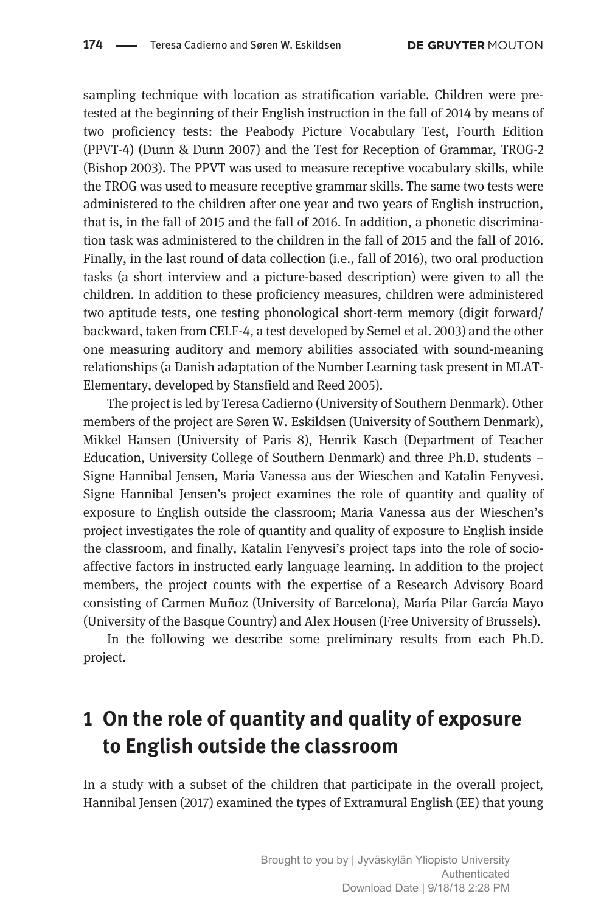sampling technique with location as stratification variable. Children were pretested at the beginning of their English instruction in the fall of 2014 by means of two proficiency tests: the Peabody Picture Vocabulary Test, Fourth Edition (PPVT-4) (Dunn & Dunn 2007) and the Test for Reception of Grammar, TROG-2 (Bishop 2003). The PPVT was used to measure receptive vocabulary skills, while the TROG was used to measure receptive grammar skills. The same two tests were administered to the children after one year and two years of English instruction, that is, in the fall of 2015 and the fall of 2016. In addition, a phonetic discrimination task was administered to the children in the fall of 2015 and the fall of 2016. Finally, in the last round of data collection (i.e., fall of 2016), two oral production tasks (a short interview and a picture-based description) were given to all the children. In addition to these proficiency measures, children were administered two aptitude tests, one testing phonological short-term memory (digit forward/ backward, taken from CELF-4, a test developed by Semel et al. 2003) and the other one measuring auditory and memory abilities associated with sound-meaning relationships (a Danish adaptation of the Number Learning task present in MLAT-Elementary, developed by Stansfield and Reed 2005).

The project is led by Teresa Cadierno (University of Southern Denmark). Other members of the project are Søren W. Eskildsen (University of Southern Denmark), Mikkel Hansen (University of Paris 8), Henrik Kasch (Department of Teacher Education, University College of Southern Denmark) and three Ph.D. students – Signe Hannibal Jensen, Maria Vanessa aus der Wieschen and Katalin Fenyvesi. Signe Hannibal Jensen's project examines the role of quantity and quality of exposure to English outside the classroom; Maria Vanessa aus der Wieschen's project investigates the role of quantity and quality of exposure to English inside the classroom, and finally, Katalin Fenyvesi's project taps into the role of socioaffective factors in instructed early language learning. In addition to the project members, the project counts with the expertise of a Research Advisory Board consisting of Carmen Muñoz (University of Barcelona), María Pilar García Mayo (University of the Basque Country) and Alex Housen (Free University of Brussels).

In the following we describe some preliminary results from each Ph.D. project.

## 1 On the role of quantity and quality of exposure to English outside the classroom

In a study with a subset of the children that participate in the overall project, Hannibal Jensen (2017) examined the types of Extramural English (EE) that young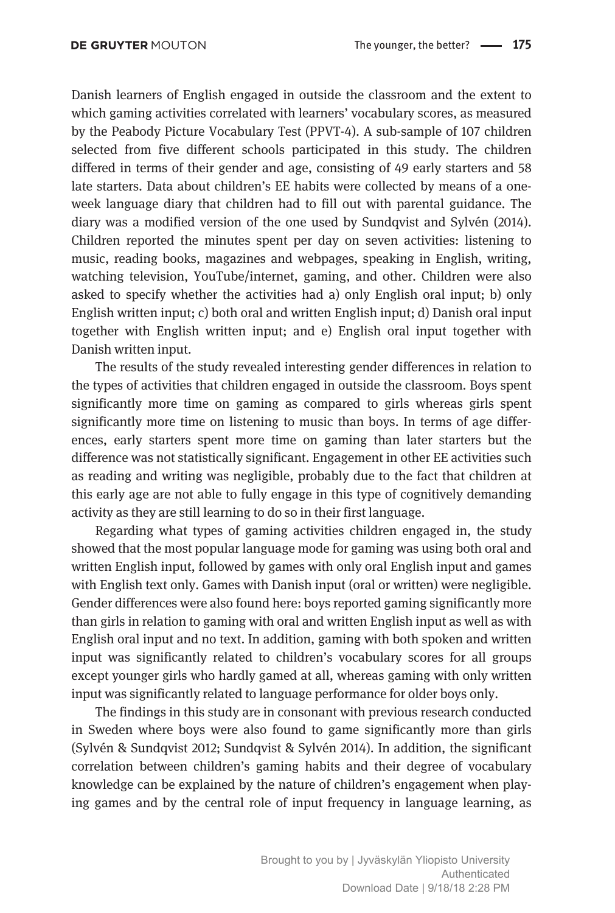Danish learners of English engaged in outside the classroom and the extent to which gaming activities correlated with learners' vocabulary scores, as measured by the Peabody Picture Vocabulary Test (PPVT-4). A sub-sample of 107 children selected from five different schools participated in this study. The children differed in terms of their gender and age, consisting of 49 early starters and 58 late starters. Data about children's EE habits were collected by means of a oneweek language diary that children had to fill out with parental guidance. The diary was a modified version of the one used by Sundqvist and Sylvén (2014). Children reported the minutes spent per day on seven activities: listening to music, reading books, magazines and webpages, speaking in English, writing, watching television, YouTube/internet, gaming, and other. Children were also asked to specify whether the activities had a) only English oral input; b) only English written input; c) both oral and written English input; d) Danish oral input together with English written input; and e) English oral input together with Danish written input.

The results of the study revealed interesting gender differences in relation to the types of activities that children engaged in outside the classroom. Boys spent significantly more time on gaming as compared to girls whereas girls spent significantly more time on listening to music than boys. In terms of age differences, early starters spent more time on gaming than later starters but the difference was not statistically significant. Engagement in other EE activities such as reading and writing was negligible, probably due to the fact that children at this early age are not able to fully engage in this type of cognitively demanding activity as they are still learning to do so in their first language.

Regarding what types of gaming activities children engaged in, the study showed that the most popular language mode for gaming was using both oral and written English input, followed by games with only oral English input and games with English text only. Games with Danish input (oral or written) were negligible. Gender differences were also found here: boys reported gaming significantly more than girls in relation to gaming with oral and written English input as well as with English oral input and no text. In addition, gaming with both spoken and written input was significantly related to children's vocabulary scores for all groups except younger girls who hardly gamed at all, whereas gaming with only written input was significantly related to language performance for older boys only.

The findings in this study are in consonant with previous research conducted in Sweden where boys were also found to game significantly more than girls (Sylvén & Sundqvist 2012; Sundqvist & Sylvén 2014). In addition, the significant correlation between children's gaming habits and their degree of vocabulary knowledge can be explained by the nature of children's engagement when playing games and by the central role of input frequency in language learning, as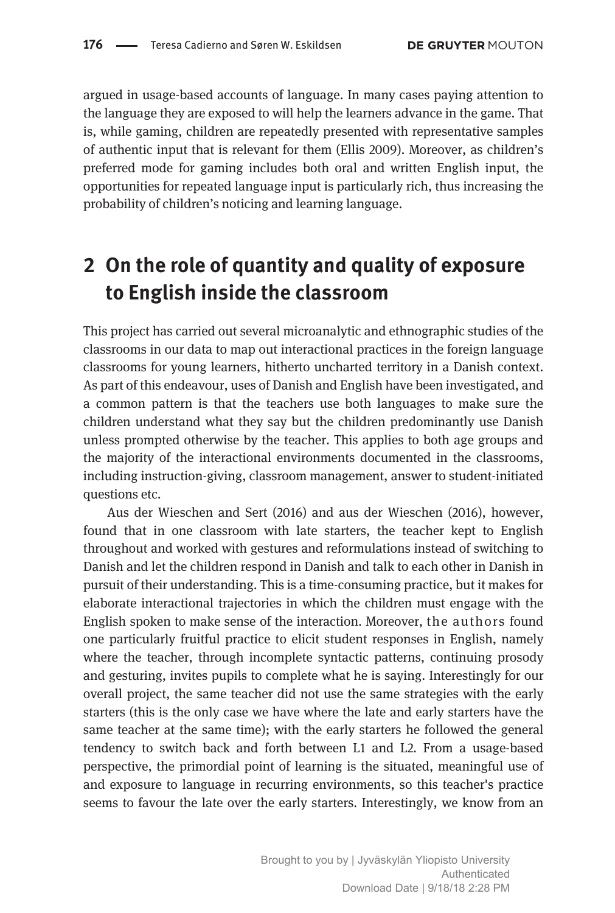argued in usage-based accounts of language. In many cases paying attention to the language they are exposed to will help the learners advance in the game. That is, while gaming, children are repeatedly presented with representative samples of authentic input that is relevant for them (Ellis 2009). Moreover, as children's preferred mode for gaming includes both oral and written English input, the opportunities for repeated language input is particularly rich, thus increasing the probability of children's noticing and learning language.

## 2 On the role of quantity and quality of exposure to English inside the classroom

This project has carried out several microanalytic and ethnographic studies of the classrooms in our data to map out interactional practices in the foreign language classrooms for young learners, hitherto uncharted territory in a Danish context. As part of this endeavour, uses of Danish and English have been investigated, and a common pattern is that the teachers use both languages to make sure the children understand what they say but the children predominantly use Danish unless prompted otherwise by the teacher. This applies to both age groups and the majority of the interactional environments documented in the classrooms, including instruction-giving, classroom management, answer to student-initiated questions etc.

Aus der Wieschen and Sert (2016) and aus der Wieschen (2016), however, found that in one classroom with late starters, the teacher kept to English throughout and worked with gestures and reformulations instead of switching to Danish and let the children respond in Danish and talk to each other in Danish in pursuit of their understanding. This is a time-consuming practice, but it makes for elaborate interactional trajectories in which the children must engage with the English spoken to make sense of the interaction. Moreover, the authors found one particularly fruitful practice to elicit student responses in English, namely where the teacher, through incomplete syntactic patterns, continuing prosody and gesturing, invites pupils to complete what he is saying. Interestingly for our overall project, the same teacher did not use the same strategies with the early starters (this is the only case we have where the late and early starters have the same teacher at the same time); with the early starters he followed the general tendency to switch back and forth between L1 and L2. From a usage-based perspective, the primordial point of learning is the situated, meaningful use of and exposure to language in recurring environments, so this teacher's practice seems to favour the late over the early starters. Interestingly, we know from an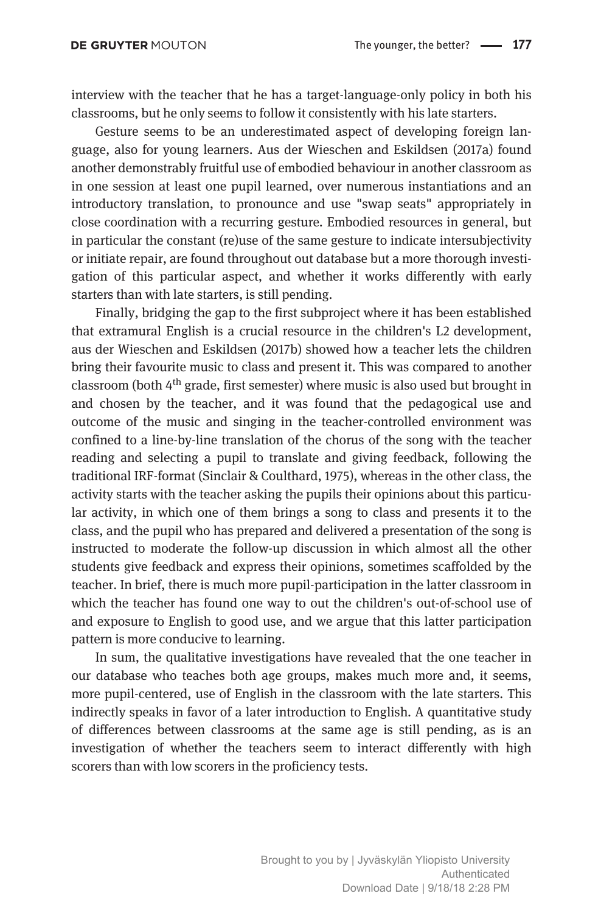interview with the teacher that he has a target-language-only policy in both his classrooms, but he only seems to follow it consistently with his late starters.

Gesture seems to be an underestimated aspect of developing foreign language, also for young learners. Aus der Wieschen and Eskildsen (2017a) found another demonstrably fruitful use of embodied behaviour in another classroom as in one session at least one pupil learned, over numerous instantiations and an introductory translation, to pronounce and use "swap seats" appropriately in close coordination with a recurring gesture. Embodied resources in general, but in particular the constant (re)use of the same gesture to indicate intersubjectivity or initiate repair, are found throughout out database but a more thorough investigation of this particular aspect, and whether it works differently with early starters than with late starters, is still pending.

Finally, bridging the gap to the first subproject where it has been established that extramural English is a crucial resource in the children's L2 development, aus der Wieschen and Eskildsen (2017b) showed how a teacher lets the children bring their favourite music to class and present it. This was compared to another classroom (both 4th grade, first semester) where music is also used but brought in and chosen by the teacher, and it was found that the pedagogical use and outcome of the music and singing in the teacher-controlled environment was confined to a line-by-line translation of the chorus of the song with the teacher reading and selecting a pupil to translate and giving feedback, following the traditional IRF-format (Sinclair & Coulthard, 1975), whereas in the other class, the activity starts with the teacher asking the pupils their opinions about this particular activity, in which one of them brings a song to class and presents it to the class, and the pupil who has prepared and delivered a presentation of the song is instructed to moderate the follow-up discussion in which almost all the other students give feedback and express their opinions, sometimes scaffolded by the teacher. In brief, there is much more pupil-participation in the latter classroom in which the teacher has found one way to out the children's out-of-school use of and exposure to English to good use, and we argue that this latter participation pattern is more conducive to learning.

In sum, the qualitative investigations have revealed that the one teacher in our database who teaches both age groups, makes much more and, it seems, more pupil-centered, use of English in the classroom with the late starters. This indirectly speaks in favor of a later introduction to English. A quantitative study of differences between classrooms at the same age is still pending, as is an investigation of whether the teachers seem to interact differently with high scorers than with low scorers in the proficiency tests.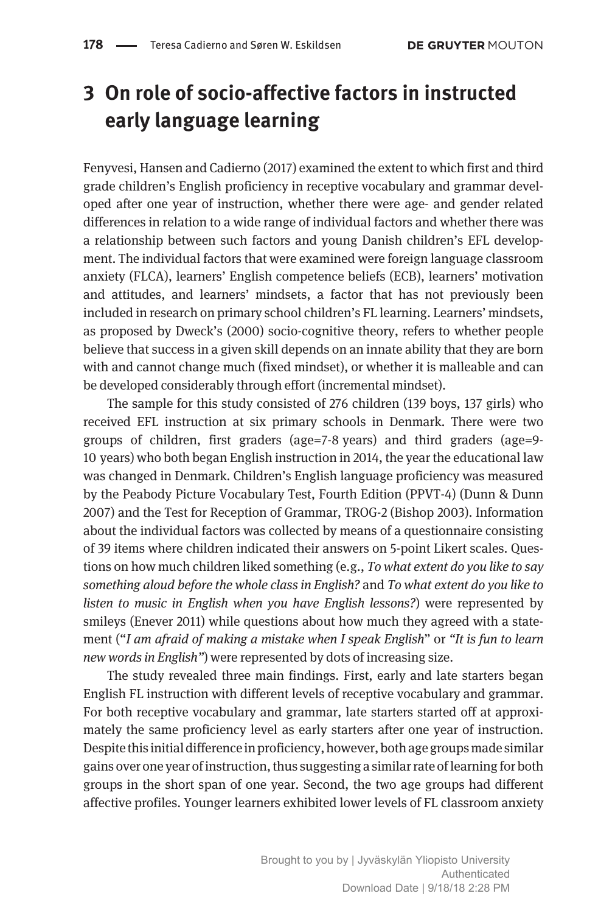# 3 On role of socio-affective factors in instructed early language learning

Fenyvesi, Hansen and Cadierno (2017) examined the extent to which first and third grade children's English proficiency in receptive vocabulary and grammar developed after one year of instruction, whether there were age- and gender related differences in relation to a wide range of individual factors and whether there was a relationship between such factors and young Danish children's EFL development. The individual factors that were examined were foreign language classroom anxiety (FLCA), learners' English competence beliefs (ECB), learners' motivation and attitudes, and learners' mindsets, a factor that has not previously been included in research on primary school children's FL learning. Learners' mindsets, as proposed by Dweck's (2000) socio-cognitive theory, refers to whether people believe that success in a given skill depends on an innate ability that they are born with and cannot change much (fixed mindset), or whether it is malleable and can be developed considerably through effort (incremental mindset).

The sample for this study consisted of 276 children (139 boys, 137 girls) who received EFL instruction at six primary schools in Denmark. There were two groups of children, first graders (age=7-8 years) and third graders (age=9- 10 years) who both began English instruction in 2014, the year the educational law was changed in Denmark. Children's English language proficiency was measured by the Peabody Picture Vocabulary Test, Fourth Edition (PPVT-4) (Dunn & Dunn 2007) and the Test for Reception of Grammar, TROG-2 (Bishop 2003). Information about the individual factors was collected by means of a questionnaire consisting of 39 items where children indicated their answers on 5-point Likert scales. Questions on how much children liked something (e.g., To what extent do you like to say something aloud before the whole class in English? and To what extent do you like to listen to music in English when you have English lessons?) were represented by smileys (Enever 2011) while questions about how much they agreed with a statement ("I am afraid of making a mistake when I speak English" or "It is fun to learn new words in English") were represented by dots of increasing size.

The study revealed three main findings. First, early and late starters began English FL instruction with different levels of receptive vocabulary and grammar. For both receptive vocabulary and grammar, late starters started off at approximately the same proficiency level as early starters after one year of instruction. Despite this initial difference in proficiency, however, both age groups made similar gains over one year of instruction, thus suggesting a similar rate of learning for both groups in the short span of one year. Second, the two age groups had different affective profiles. Younger learners exhibited lower levels of FL classroom anxiety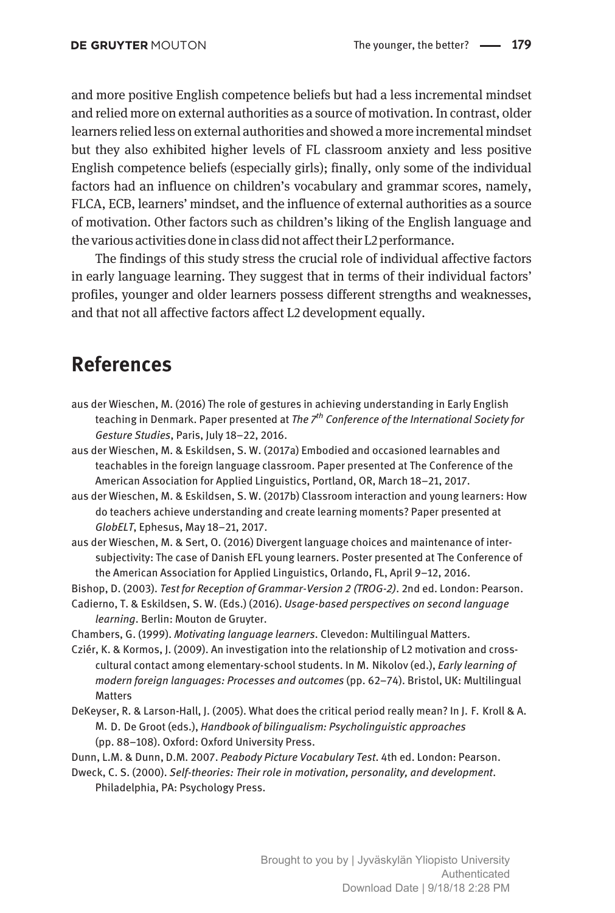and more positive English competence beliefs but had a less incremental mindset and relied more on external authorities as a source of motivation. In contrast, older learners relied less on external authorities and showed a more incremental mindset but they also exhibited higher levels of FL classroom anxiety and less positive English competence beliefs (especially girls); finally, only some of the individual factors had an influence on children's vocabulary and grammar scores, namely, FLCA, ECB, learners' mindset, and the influence of external authorities as a source of motivation. Other factors such as children's liking of the English language and the various activities done in class did not affect their L2 performance.

The findings of this study stress the crucial role of individual affective factors in early language learning. They suggest that in terms of their individual factors' profiles, younger and older learners possess different strengths and weaknesses, and that not all affective factors affect L2 development equally.

#### References

- aus der Wieschen, M. (2016) The role of gestures in achieving understanding in Early English teaching in Denmark. Paper presented at The 7<sup>th</sup> Conference of the International Society for Gesture Studies, Paris, July 18–22, 2016.
- aus der Wieschen, M. & Eskildsen, S. W. (2017a) Embodied and occasioned learnables and teachables in the foreign language classroom. Paper presented at The Conference of the American Association for Applied Linguistics, Portland, OR, March 18–21, 2017.
- aus der Wieschen, M. & Eskildsen, S. W. (2017b) Classroom interaction and young learners: How do teachers achieve understanding and create learning moments? Paper presented at GlobELT, Ephesus, May 18–21, 2017.
- aus der Wieschen, M. & Sert, O. (2016) Divergent language choices and maintenance of intersubjectivity: The case of Danish EFL young learners. Poster presented at The Conference of the American Association for Applied Linguistics, Orlando, FL, April 9–12, 2016.

Bishop, D. (2003). Test for Reception of Grammar-Version 2 (TROG-2). 2nd ed. London: Pearson.

Cadierno, T. & Eskildsen, S. W. (Eds.) (2016). Usage-based perspectives on second language learning. Berlin: Mouton de Gruyter.

Chambers, G. (1999). Motivating language learners. Clevedon: Multilingual Matters.

- Cziér, K. & Kormos, J. (2009). An investigation into the relationship of L2 motivation and crosscultural contact among elementary-school students. In M. Nikolov (ed.), Early learning of modern foreign languages: Processes and outcomes (pp. 62–74). Bristol, UK: Multilingual **Matters**
- DeKeyser, R. & Larson-Hall, J. (2005). What does the critical period really mean? In J. F. Kroll & A. M. D. De Groot (eds.), Handbook of bilingualism: Psycholinguistic approaches (pp. 88–108). Oxford: Oxford University Press.

Dunn, L.M. & Dunn, D.M. 2007. Peabody Picture Vocabulary Test. 4th ed. London: Pearson.

Dweck, C. S. (2000). Self-theories: Their role in motivation, personality, and development. Philadelphia, PA: Psychology Press.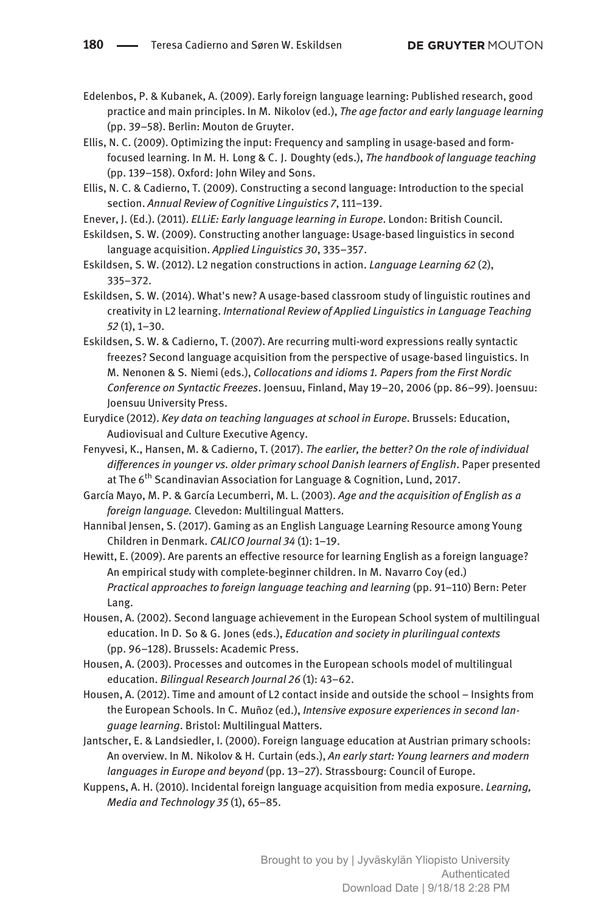- Edelenbos, P. & Kubanek, A. (2009). Early foreign language learning: Published research, good practice and main principles. In M. Nikolov (ed.), The age factor and early language learning (pp. 39–58). Berlin: Mouton de Gruyter.
- Ellis, N. C. (2009). Optimizing the input: Frequency and sampling in usage-based and formfocused learning. In M. H. Long & C. J. Doughty (eds.), The handbook of language teaching (pp. 139–158). Oxford: John Wiley and Sons.
- Ellis, N. C. & Cadierno, T. (2009). Constructing a second language: Introduction to the special section. Annual Review of Coanitive Linauistics 7, 111-139.
- Enever, J. (Ed.). (2011). ELLiE: Early language learning in Europe. London: British Council.
- Eskildsen, S. W. (2009). Constructing another language: Usage-based linguistics in second language acquisition. Applied Linguistics 30, 335–357.
- Eskildsen, S. W. (2012). L2 negation constructions in action. Language Learning 62 (2), 335–372.
- Eskildsen, S. W. (2014). What's new? A usage-based classroom study of linguistic routines and creativity in L2 learning. International Review of Applied Linguistics in Language Teaching 52 (1), 1–30.
- Eskildsen, S. W. & Cadierno, T. (2007). Are recurring multi-word expressions really syntactic freezes? Second language acquisition from the perspective of usage-based linguistics. In M. Nenonen & S. Niemi (eds.), Collocations and idioms 1. Papers from the First Nordic Conference on Syntactic Freezes. Joensuu, Finland, May 19–20, 2006 (pp. 86–99). Joensuu: Joensuu University Press.
- Eurydice (2012). Key data on teaching languages at school in Europe. Brussels: Education, Audiovisual and Culture Executive Agency.
- Fenyvesi, K., Hansen, M. & Cadierno, T. (2017). The earlier, the better? On the role of individual differences in younger vs. older primary school Danish learners of English. Paper presented at The  $6<sup>th</sup>$  Scandinavian Association for Language & Cognition, Lund, 2017.
- García Mayo, M. P. & García Lecumberri, M. L. (2003). Age and the acquisition of English as a foreign language. Clevedon: Multilingual Matters.
- Hannibal Jensen, S. (2017). Gaming as an English Language Learning Resource among Young Children in Denmark. CALICO Journal 34 (1): 1–19.
- Hewitt, E. (2009). Are parents an effective resource for learning English as a foreign language? An empirical study with complete-beginner children. In M. Navarro Coy (ed.) Practical approaches to foreign language teaching and learning (pp. 91–110) Bern: Peter Lang.
- Housen, A. (2002). Second language achievement in the European School system of multilingual education. In D. So & G. Jones (eds.), Education and society in plurilingual contexts (pp. 96–128). Brussels: Academic Press.
- Housen, A. (2003). Processes and outcomes in the European schools model of multilingual education. Bilingual Research Journal 26 (1): 43–62.
- Housen, A. (2012). Time and amount of L2 contact inside and outside the school Insights from the European Schools. In C. Muñoz (ed.), Intensive exposure experiences in second language learning. Bristol: Multilingual Matters.
- Jantscher, E. & Landsiedler, I. (2000). Foreign language education at Austrian primary schools: An overview. In M. Nikolov & H. Curtain (eds.), An early start: Young learners and modern languages in Europe and beyond (pp. 13–27). Strassbourg: Council of Europe.
- Kuppens, A. H. (2010). Incidental foreign language acquisition from media exposure. Learning, Media and Technology 35 (1), 65–85.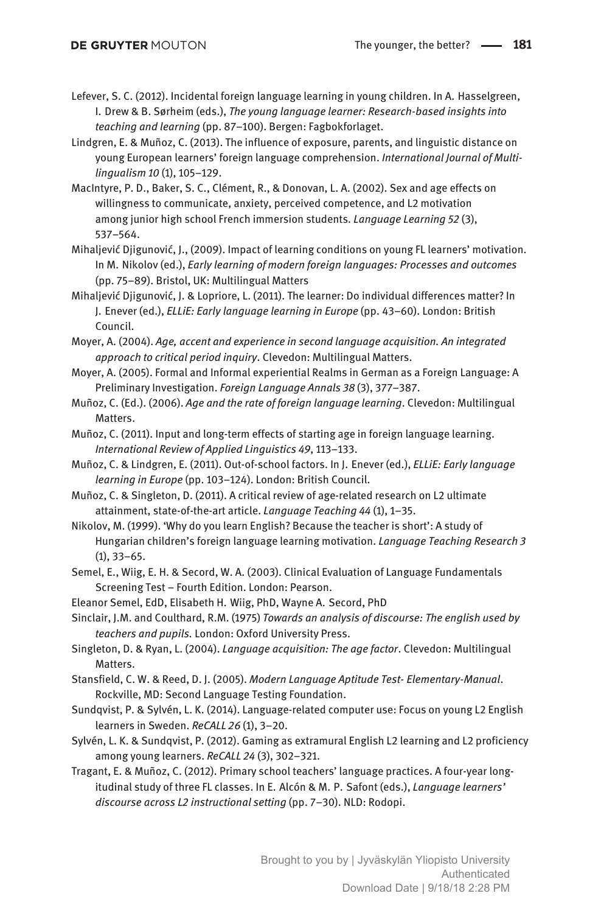- Lefever, S. C. (2012). Incidental foreign language learning in young children. In A. Hasselgreen, I. Drew & B. Sørheim (eds.), The young language learner: Research-based insights into teaching and learning (pp. 87–100). Bergen: Fagbokforlaget.
- Lindgren, E. & Muñoz, C. (2013). The influence of exposure, parents, and linguistic distance on young European learners' foreign language comprehension. International Journal of Multilingualism 10 (1), 105–129.
- MacIntyre, P. D., Baker, S. C., Clément, R., & Donovan, L. A. (2002). Sex and age effects on willingness to communicate, anxiety, perceived competence, and L2 motivation among junior high school French immersion students. Language Learning 52 (3), 537–564.
- Mihaljević Djigunović, J., (2009). Impact of learning conditions on young FL learners' motivation. In M. Nikolov (ed.), Early learning of modern foreign languages: Processes and outcomes (pp. 75–89). Bristol, UK: Multilingual Matters
- Mihaljević Djigunović, J. & Lopriore, L. (2011). The learner: Do individual differences matter? In J. Enever (ed.), ELLiE: Early language learning in Europe (pp. 43–60). London: British Council.

Moyer, A. (2004). Age, accent and experience in second language acquisition. An integrated approach to critical period inquiry. Clevedon: Multilingual Matters.

- Moyer, A. (2005). Formal and Informal experiential Realms in German as a Foreign Language: A Preliminary Investigation. Foreign Language Annals 38 (3), 377–387.
- Muñoz, C. (Ed.). (2006). Age and the rate of foreign language learning. Clevedon: Multilingual **Matters**
- Muñoz, C. (2011). Input and long-term effects of starting age in foreign language learning. International Review of Applied Linguistics 49, 113–133.
- Muñoz, C. & Lindgren, E. (2011). Out-of-school factors. In J. Enever (ed.), ELLiE: Early language learning in Europe (pp. 103–124). London: British Council.
- Muñoz, C. & Singleton, D. (2011). A critical review of age-related research on L2 ultimate attainment, state-of-the-art article. Language Teaching 44 (1), 1–35.
- Nikolov, M. (1999). 'Why do you learn English? Because the teacher is short': A study of Hungarian children's foreign language learning motivation. Language Teaching Research 3 (1), 33–65.
- Semel, E., Wiig, E. H. & Secord, W. A. (2003). Clinical Evaluation of Language Fundamentals Screening Test – Fourth Edition. London: Pearson.
- Eleanor Semel, EdD, Elisabeth H. Wiig, PhD, Wayne A. Secord, PhD

Sinclair, J.M. and Coulthard, R.M. (1975) Towards an analysis of discourse: The english used by teachers and pupils. London: Oxford University Press.

- Singleton, D. & Ryan, L. (2004). Language acquisition: The age factor. Clevedon: Multilingual Matters.
- Stansfield, C. W. & Reed, D. J. (2005). Modern Language Aptitude Test- Elementary-Manual. Rockville, MD: Second Language Testing Foundation.
- Sundqvist, P. & Sylvén, L. K. (2014). Language-related computer use: Focus on young L2 English learners in Sweden. ReCALL 26 (1), 3-20.
- Sylvén, L. K. & Sundqvist, P. (2012). Gaming as extramural English L2 learning and L2 proficiency among young learners. ReCALL 24 (3), 302–321.
- Tragant, E. & Muñoz, C. (2012). Primary school teachers' language practices. A four-year longitudinal study of three FL classes. In E. Alcón & M. P. Safont (eds.), Language learners' discourse across L2 instructional setting (pp. 7–30). NLD: Rodopi.